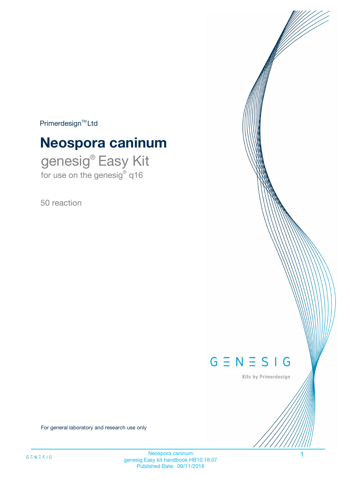$Primerdesign^{\text{TM}}Ltd$ 

# **Neospora caninum**

genesig® Easy Kit for use on the genesig® q16

50 reaction



Kits by Primerdesign

For general laboratory and research use only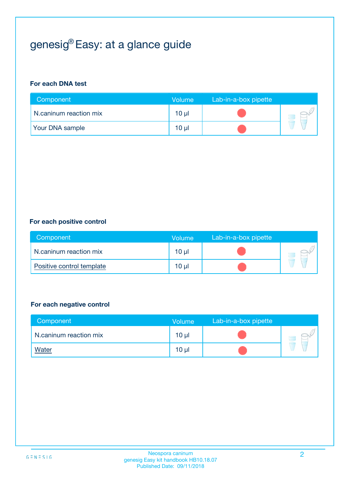# genesig® Easy: at a glance guide

#### **For each DNA test**

| Component              | <b>Volume</b>   | Lab-in-a-box pipette |  |
|------------------------|-----------------|----------------------|--|
| N.caninum reaction mix | $10 \mu$        |                      |  |
| <b>Your DNA sample</b> | 10 <sub>µ</sub> |                      |  |

#### **For each positive control**

| Component                 | Volume          | Lab-in-a-box pipette |  |
|---------------------------|-----------------|----------------------|--|
| N.caninum reaction mix    | 10 <sub>µ</sub> |                      |  |
| Positive control template | 10 <sub>µ</sub> |                      |  |

#### **For each negative control**

| Component              | <b>Volume</b>   | Lab-in-a-box pipette |  |
|------------------------|-----------------|----------------------|--|
| N.caninum reaction mix | 10 <sub>µ</sub> |                      |  |
| <u>Water</u>           | 10 <sub>µ</sub> |                      |  |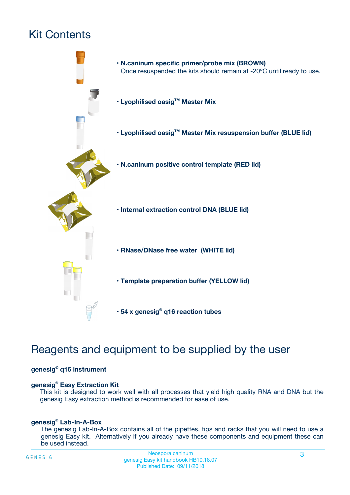## Kit Contents



## Reagents and equipment to be supplied by the user

#### **genesig® q16 instrument**

#### **genesig® Easy Extraction Kit**

This kit is designed to work well with all processes that yield high quality RNA and DNA but the genesig Easy extraction method is recommended for ease of use.

#### **genesig® Lab-In-A-Box**

The genesig Lab-In-A-Box contains all of the pipettes, tips and racks that you will need to use a genesig Easy kit. Alternatively if you already have these components and equipment these can be used instead.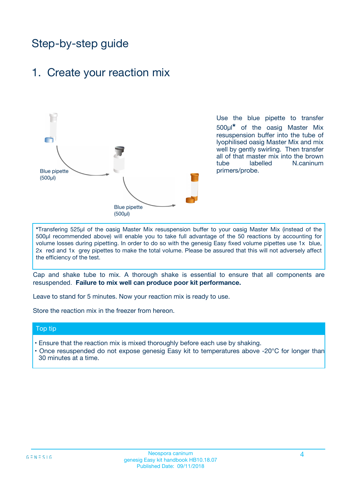## Step-by-step guide

### 1. Create your reaction mix



Use the blue pipette to transfer 500µl**\*** of the oasig Master Mix resuspension buffer into the tube of lyophilised oasig Master Mix and mix well by gently swirling. Then transfer all of that master mix into the brown tube labelled N.caninum primers/probe.

**\***Transfering 525µl of the oasig Master Mix resuspension buffer to your oasig Master Mix (instead of the 500µl recommended above) will enable you to take full advantage of the 50 reactions by accounting for volume losses during pipetting. In order to do so with the genesig Easy fixed volume pipettes use 1x blue, 2x red and 1x grey pipettes to make the total volume. Please be assured that this will not adversely affect the efficiency of the test.

Cap and shake tube to mix. A thorough shake is essential to ensure that all components are resuspended. **Failure to mix well can produce poor kit performance.**

Leave to stand for 5 minutes. Now your reaction mix is ready to use.

Store the reaction mix in the freezer from hereon.

#### Top tip

- Ensure that the reaction mix is mixed thoroughly before each use by shaking.
- Once resuspended do not expose genesig Easy kit to temperatures above -20°C for longer than 30 minutes at a time.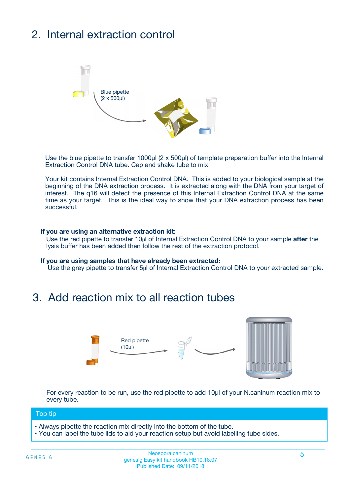## 2. Internal extraction control



Use the blue pipette to transfer 1000µl (2 x 500µl) of template preparation buffer into the Internal Extraction Control DNA tube. Cap and shake tube to mix.

Your kit contains Internal Extraction Control DNA. This is added to your biological sample at the beginning of the DNA extraction process. It is extracted along with the DNA from your target of interest. The q16 will detect the presence of this Internal Extraction Control DNA at the same time as your target. This is the ideal way to show that your DNA extraction process has been successful.

#### **If you are using an alternative extraction kit:**

Use the red pipette to transfer 10µl of Internal Extraction Control DNA to your sample **after** the lysis buffer has been added then follow the rest of the extraction protocol.

#### **If you are using samples that have already been extracted:**

Use the grey pipette to transfer 5µl of Internal Extraction Control DNA to your extracted sample.

### 3. Add reaction mix to all reaction tubes



For every reaction to be run, use the red pipette to add 10µl of your N.caninum reaction mix to every tube.

#### Top tip

- Always pipette the reaction mix directly into the bottom of the tube.
- You can label the tube lids to aid your reaction setup but avoid labelling tube sides.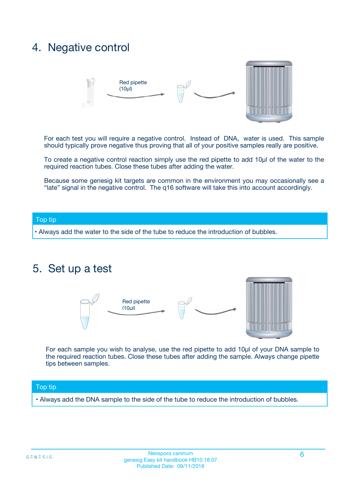### 4. Negative control



For each test you will require a negative control. Instead of DNA, water is used. This sample should typically prove negative thus proving that all of your positive samples really are positive.

To create a negative control reaction simply use the red pipette to add 10µl of the water to the required reaction tubes. Close these tubes after adding the water.

Because some genesig kit targets are common in the environment you may occasionally see a "late" signal in the negative control. The q16 software will take this into account accordingly.

#### Top tip

**•** Always add the water to the side of the tube to reduce the introduction of bubbles.

### 5. Set up a test



For each sample you wish to analyse, use the red pipette to add 10µl of your DNA sample to the required reaction tubes. Close these tubes after adding the sample. Always change pipette tips between samples.

#### Top tip

**•** Always add the DNA sample to the side of the tube to reduce the introduction of bubbles.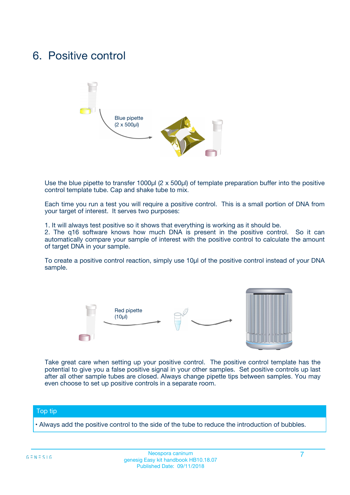### 6. Positive control



Use the blue pipette to transfer 1000µl (2 x 500µl) of template preparation buffer into the positive control template tube. Cap and shake tube to mix.

Each time you run a test you will require a positive control. This is a small portion of DNA from your target of interest. It serves two purposes:

1. It will always test positive so it shows that everything is working as it should be.

2. The q16 software knows how much DNA is present in the positive control. So it can automatically compare your sample of interest with the positive control to calculate the amount of target DNA in your sample.

To create a positive control reaction, simply use 10µl of the positive control instead of your DNA sample.



Take great care when setting up your positive control. The positive control template has the potential to give you a false positive signal in your other samples. Set positive controls up last after all other sample tubes are closed. Always change pipette tips between samples. You may even choose to set up positive controls in a separate room.

#### Top tip

**•** Always add the positive control to the side of the tube to reduce the introduction of bubbles.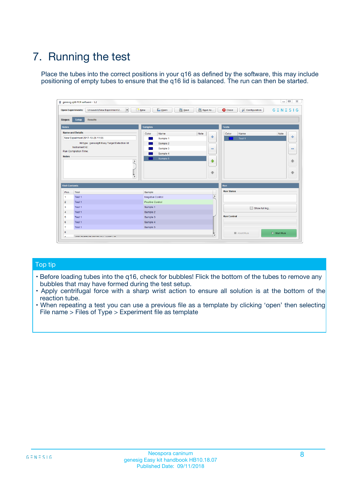## 7. Running the test

Place the tubes into the correct positions in your q16 as defined by the software, this may include positioning of empty tubes to ensure that the q16 lid is balanced. The run can then be started.

| genesig q16 PCR software - 1.2                                               |                                     | $\Box$                                                                                  |
|------------------------------------------------------------------------------|-------------------------------------|-----------------------------------------------------------------------------------------|
| Unsaved (New Experiment 2<br>$\vert \cdot \vert$<br><b>Open Experiments:</b> | <b>D</b> Open<br>Save<br>$\Box$ New | Save As<br><b>C</b> Close<br>$G \equiv N \equiv S \mid G$<br><b>&amp; Configuration</b> |
| Setup<br><b>Results</b><br><b>Stages:</b>                                    |                                     |                                                                                         |
| <b>Notes</b>                                                                 | Samples                             | <b>Tests</b>                                                                            |
| <b>Name and Details</b>                                                      | Color<br>Name                       | Note<br>Color<br>Note<br>Name                                                           |
| New Experiment 2017-10-26 11:06                                              | Sample 1                            | 条<br>علي<br>Test 1                                                                      |
| Kit type: genesig® Easy Target Detection kit                                 | Sample 2                            |                                                                                         |
| Instrument Id.:                                                              | Sample 3                            | $\qquad \qquad \blacksquare$<br>$\qquad \qquad \blacksquare$                            |
| Run Completion Time:                                                         | Sample 4                            |                                                                                         |
| <b>Notes</b>                                                                 | Sample 5<br>A<br>v                  | $\triangle$<br>4<br>$\oplus$<br>₩                                                       |
| <b>Well Contents</b>                                                         |                                     | <b>Run</b>                                                                              |
| Pos.<br>Test                                                                 | Sample                              | <b>Run Status</b>                                                                       |
| Test 1<br>-1                                                                 | <b>Negative Control</b>             | $\blacktriangle$                                                                        |
| $\overline{2}$<br>Test 1                                                     | <b>Positive Control</b>             |                                                                                         |
| $\overline{\mathbf{3}}$<br>Test 1                                            | Sample 1                            | Show full log                                                                           |
| Test 1<br>$\overline{4}$                                                     | Sample 2                            |                                                                                         |
| 5<br>Test 1                                                                  | Sample 3                            | <b>Run Control</b>                                                                      |
| 6<br>Test 1                                                                  | Sample 4                            |                                                                                         |
| $\overline{7}$<br>Test 1                                                     | Sample 5                            |                                                                                         |
| 8                                                                            |                                     | $\triangleright$ Start Run<br>Abort Run                                                 |
| <b>JOD FURTY TUDE TO BUILDED IN</b>                                          |                                     | $\overline{\mathbf{v}}$                                                                 |

#### Top tip

- Before loading tubes into the q16, check for bubbles! Flick the bottom of the tubes to remove any bubbles that may have formed during the test setup.
- Apply centrifugal force with a sharp wrist action to ensure all solution is at the bottom of the reaction tube.
- When repeating a test you can use a previous file as a template by clicking 'open' then selecting File name > Files of Type > Experiment file as template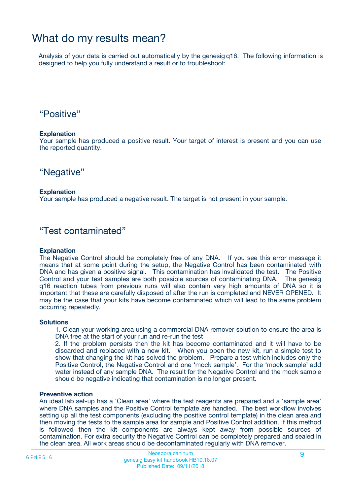### What do my results mean?

Analysis of your data is carried out automatically by the genesig q16. The following information is designed to help you fully understand a result or to troubleshoot:

### "Positive"

#### **Explanation**

Your sample has produced a positive result. Your target of interest is present and you can use the reported quantity.

"Negative"

#### **Explanation**

Your sample has produced a negative result. The target is not present in your sample.

### "Test contaminated"

#### **Explanation**

The Negative Control should be completely free of any DNA. If you see this error message it means that at some point during the setup, the Negative Control has been contaminated with DNA and has given a positive signal. This contamination has invalidated the test. The Positive Control and your test samples are both possible sources of contaminating DNA. The genesig q16 reaction tubes from previous runs will also contain very high amounts of DNA so it is important that these are carefully disposed of after the run is completed and NEVER OPENED. It may be the case that your kits have become contaminated which will lead to the same problem occurring repeatedly.

#### **Solutions**

1. Clean your working area using a commercial DNA remover solution to ensure the area is DNA free at the start of your run and re-run the test

2. If the problem persists then the kit has become contaminated and it will have to be discarded and replaced with a new kit. When you open the new kit, run a simple test to show that changing the kit has solved the problem. Prepare a test which includes only the Positive Control, the Negative Control and one 'mock sample'. For the 'mock sample' add water instead of any sample DNA. The result for the Negative Control and the mock sample should be negative indicating that contamination is no longer present.

#### **Preventive action**

An ideal lab set-up has a 'Clean area' where the test reagents are prepared and a 'sample area' where DNA samples and the Positive Control template are handled. The best workflow involves setting up all the test components (excluding the positive control template) in the clean area and then moving the tests to the sample area for sample and Positive Control addition. If this method is followed then the kit components are always kept away from possible sources of contamination. For extra security the Negative Control can be completely prepared and sealed in the clean area. All work areas should be decontaminated regularly with DNA remover.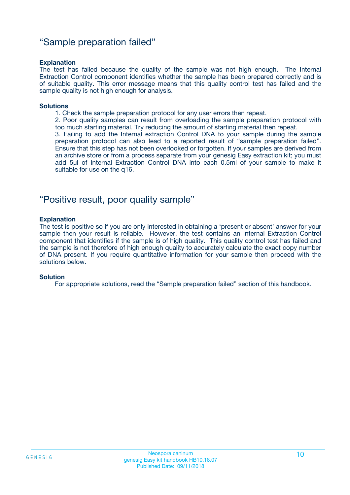### "Sample preparation failed"

#### **Explanation**

The test has failed because the quality of the sample was not high enough. The Internal Extraction Control component identifies whether the sample has been prepared correctly and is of suitable quality. This error message means that this quality control test has failed and the sample quality is not high enough for analysis.

#### **Solutions**

- 1. Check the sample preparation protocol for any user errors then repeat.
- 2. Poor quality samples can result from overloading the sample preparation protocol with too much starting material. Try reducing the amount of starting material then repeat.

3. Failing to add the Internal extraction Control DNA to your sample during the sample preparation protocol can also lead to a reported result of "sample preparation failed". Ensure that this step has not been overlooked or forgotten. If your samples are derived from an archive store or from a process separate from your genesig Easy extraction kit; you must add 5µl of Internal Extraction Control DNA into each 0.5ml of your sample to make it suitable for use on the q16.

### "Positive result, poor quality sample"

#### **Explanation**

The test is positive so if you are only interested in obtaining a 'present or absent' answer for your sample then your result is reliable. However, the test contains an Internal Extraction Control component that identifies if the sample is of high quality. This quality control test has failed and the sample is not therefore of high enough quality to accurately calculate the exact copy number of DNA present. If you require quantitative information for your sample then proceed with the solutions below.

#### **Solution**

For appropriate solutions, read the "Sample preparation failed" section of this handbook.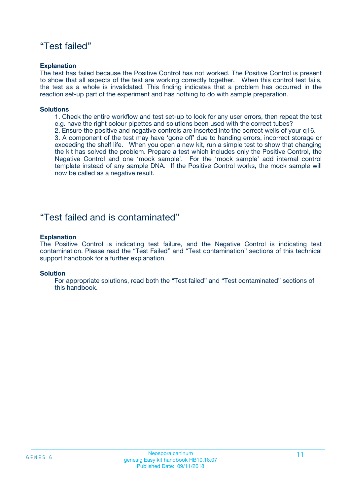### "Test failed"

#### **Explanation**

The test has failed because the Positive Control has not worked. The Positive Control is present to show that all aspects of the test are working correctly together. When this control test fails, the test as a whole is invalidated. This finding indicates that a problem has occurred in the reaction set-up part of the experiment and has nothing to do with sample preparation.

#### **Solutions**

- 1. Check the entire workflow and test set-up to look for any user errors, then repeat the test e.g. have the right colour pipettes and solutions been used with the correct tubes?
- 2. Ensure the positive and negative controls are inserted into the correct wells of your q16.

3. A component of the test may have 'gone off' due to handing errors, incorrect storage or exceeding the shelf life. When you open a new kit, run a simple test to show that changing the kit has solved the problem. Prepare a test which includes only the Positive Control, the Negative Control and one 'mock sample'. For the 'mock sample' add internal control template instead of any sample DNA. If the Positive Control works, the mock sample will now be called as a negative result.

### "Test failed and is contaminated"

#### **Explanation**

The Positive Control is indicating test failure, and the Negative Control is indicating test contamination. Please read the "Test Failed" and "Test contamination" sections of this technical support handbook for a further explanation.

#### **Solution**

For appropriate solutions, read both the "Test failed" and "Test contaminated" sections of this handbook.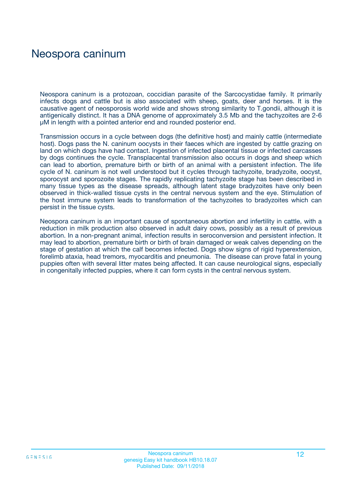### Neospora caninum

Neospora caninum is a protozoan, coccidian parasite of the Sarcocystidae family. It primarily infects dogs and cattle but is also associated with sheep, goats, deer and horses. It is the causative agent of neosporosis world wide and shows strong similarity to T.gondii, although it is antigenically distinct. It has a DNA genome of approximately 3.5 Mb and the tachyzoites are 2-6 μM in length with a pointed anterior end and rounded posterior end.

Transmission occurs in a cycle between dogs (the definitive host) and mainly cattle (intermediate host). Dogs pass the N. caninum oocysts in their faeces which are ingested by cattle grazing on land on which dogs have had contact. Ingestion of infected placental tissue or infected carcasses by dogs continues the cycle. Transplacental transmission also occurs in dogs and sheep which can lead to abortion, premature birth or birth of an animal with a persistent infection. The life cycle of N. caninum is not well understood but it cycles through tachyzoite, bradyzoite, oocyst, sporocyst and sporozoite stages. The rapidly replicating tachyzoite stage has been described in many tissue types as the disease spreads, although latent stage bradyzoites have only been observed in thick-walled tissue cysts in the central nervous system and the eye. Stimulation of the host immune system leads to transformation of the tachyzoites to bradyzoites which can persist in the tissue cysts.

Neospora caninum is an important cause of spontaneous abortion and infertility in cattle, with a reduction in milk production also observed in adult dairy cows, possibly as a result of previous abortion. In a non-pregnant animal, infection results in seroconversion and persistent infection. It may lead to abortion, premature birth or birth of brain damaged or weak calves depending on the stage of gestation at which the calf becomes infected. Dogs show signs of rigid hyperextension, forelimb ataxia, head tremors, myocarditis and pneumonia. The disease can prove fatal in young puppies often with several litter mates being affected. It can cause neurological signs, especially in congenitally infected puppies, where it can form cysts in the central nervous system.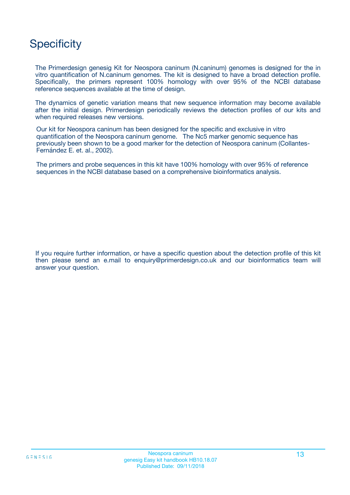## **Specificity**

The Primerdesign genesig Kit for Neospora caninum (N.caninum) genomes is designed for the in vitro quantification of N.caninum genomes. The kit is designed to have a broad detection profile. Specifically, the primers represent 100% homology with over 95% of the NCBI database reference sequences available at the time of design.

The dynamics of genetic variation means that new sequence information may become available after the initial design. Primerdesign periodically reviews the detection profiles of our kits and when required releases new versions.

Our kit for Neospora caninum has been designed for the specific and exclusive in vitro quantification of the Neospora caninum genome. The Nc5 marker genomic sequence has previously been shown to be a good marker for the detection of Neospora caninum (Collantes-Fernández E. et. al., 2002).

The primers and probe sequences in this kit have 100% homology with over 95% of reference sequences in the NCBI database based on a comprehensive bioinformatics analysis.

If you require further information, or have a specific question about the detection profile of this kit then please send an e.mail to enquiry@primerdesign.co.uk and our bioinformatics team will answer your question.